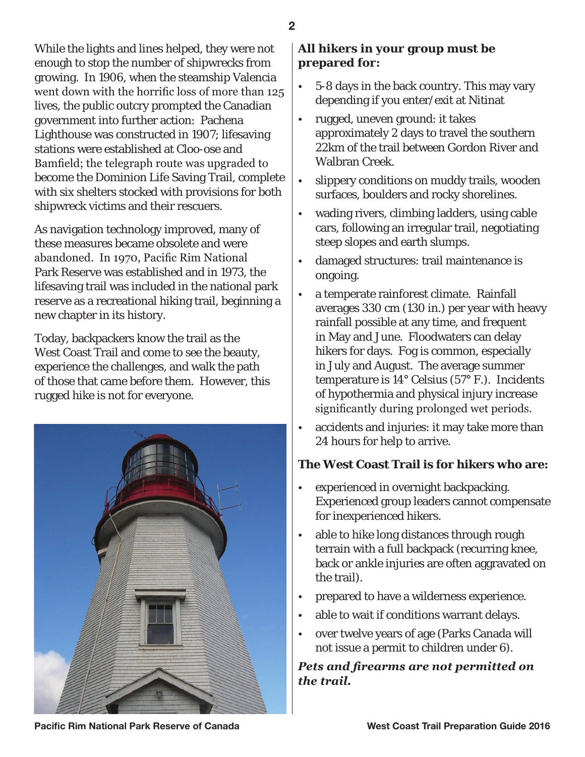While the lights and lines helped, they were not enough to stop the number of shipwrecks from growing. In 1906, when the steamship Valencia went down with the horrific loss of more than 125 lives, the public outcry prompted the Canadian government into further action: Pachena Lighthouse was constructed in 1907; lifesaving stations were established at Cloo-ose and Bamfield; the telegraph route was upgraded to become the Dominion Life Saving Trail, complete with six shelters stocked with provisions for both shipwreck victims and their rescuers.

As navigation technology improved, many of these measures became obsolete and were abandoned. In 1970, Pacific Rim National Park Reserve was established and in 1973, the lifesaving trail was included in the national park reserve as a recreational hiking trail, beginning a new chapter in its history.

Today, backpackers know the trail as the West Coast Trail and come to see the beauty, experience the challenges, and walk the path of those that came before them. However, this rugged hike is not for everyone.



#### **All hikers in your group must be prepared for:**

- 5-8 days in the back country. This may vary depending if you enter/exit at Nitinat
- rugged, uneven ground: it takes approximately 2 days to travel the southern 22km of the trail between Gordon River and Walbran Creek.
- slippery conditions on muddy trails, wooden surfaces, boulders and rocky shorelines.
- wading rivers, climbing ladders, using cable cars, following an irregular trail, negotiating steep slopes and earth slumps.
- damaged structures: trail maintenance is ongoing.
- a temperate rainforest climate. Rainfall averages 330 cm (130 in.) per year with heavy rainfall possible at any time, and frequent in May and June. Floodwaters can delay hikers for days. Fog is common, especially in July and August. The average summer temperature is 14° Celsius (57° F.). Incidents of hypothermia and physical injury increase significantly during prolonged wet periods.
- accidents and injuries: it may take more than 24 hours for help to arrive.

#### **The West Coast Trail is for hikers who are:**

- experienced in overnight backpacking. Experienced group leaders cannot compensate for inexperienced hikers.
- able to hike long distances through rough terrain with a full backpack (recurring knee, back or ankle injuries are often aggravated on the trail).
- prepared to have a wilderness experience.
- able to wait if conditions warrant delays.
- over twelve years of age (Parks Canada will not issue a permit to children under 6).

# *Pets and firearms are not permitted on the trail.*

**Pacific Rim National Park Reserve of Canada Noting the Section West Coast Trail Preparation Guide 2016**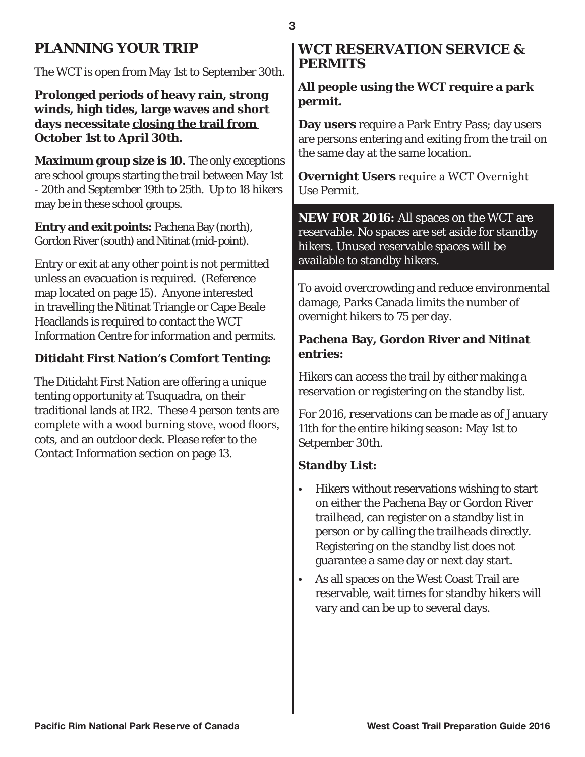# **PLANNING YOUR TRIP**

The WCT is open from May 1st to September 30th.

**Prolonged periods of heavy rain, strong winds, high tides, large waves and short days necessitate closing the trail from October 1st to April 30th.**

**Maximum group size is 10.** The only exceptions are school groups starting the trail between May 1st - 20th and September 19th to 25th. Up to 18 hikers may be in these school groups.

**Entry and exit points:** Pachena Bay (north), Gordon River (south) and Nitinat (mid-point).

Entry or exit at any other point is not permitted unless an evacuation is required. (Reference map located on page 15). Anyone interested in travelling the Nitinat Triangle or Cape Beale Headlands is required to contact the WCT Information Centre for information and permits.

#### **Ditidaht First Nation's Comfort Tenting:**

The Ditidaht First Nation are offering a unique tenting opportunity at Tsuquadra, on their traditional lands at IR2. These 4 person tents are complete with a wood burning stove, wood floors, cots, and an outdoor deck. Please refer to the Contact Information section on page 13.

# **WCT RESERVATION SERVICE & PERMITS**

# **All people using the WCT require a park permit.**

**Day users** require a Park Entry Pass; day users are persons entering and exiting from the trail on the same day at the same location.

**Overnight Users** require a WCT Overnight Use Permit.

**NEW FOR 2016:** All spaces on the WCT are reservable. No spaces are set aside for standby hikers. Unused reservable spaces will be available to standby hikers.

To avoid overcrowding and reduce environmental damage, Parks Canada limits the number of overnight hikers to 75 per day.

# **Pachena Bay, Gordon River and Nitinat entries:**

Hikers can access the trail by either making a reservation or registering on the standby list.

For 2016, reservations can be made as of January 11th for the entire hiking season: May 1st to Setpember 30th.

#### **Standby List:**

- Hikers without reservations wishing to start on either the Pachena Bay or Gordon River trailhead, can register on a standby list in person or by calling the trailheads directly. Registering on the standby list does not guarantee a same day or next day start.
- As all spaces on the West Coast Trail are reservable, wait times for standby hikers will vary and can be up to several days.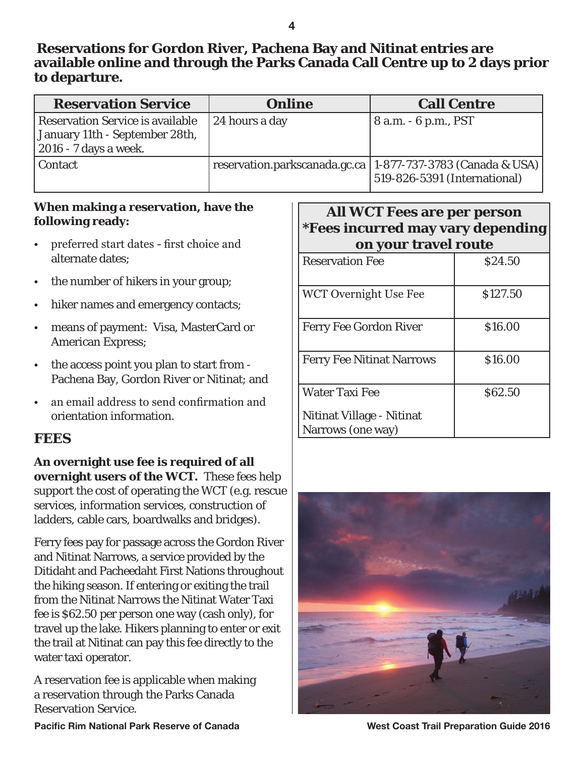# **Reservations for Gordon River, Pachena Bay and Nitinat entries are available online and through the Parks Canada Call Centre up to 2 days prior to departure.**

| <b>Reservation Service</b>                                                                                 | <b>Online</b>  | <b>Call Centre</b>                                                                              |
|------------------------------------------------------------------------------------------------------------|----------------|-------------------------------------------------------------------------------------------------|
| <b>Reservation Service is available</b><br>January 11th - September 28th,<br>$\vert$ 2016 - 7 days a week. | 24 hours a day | 8 a.m. - 6 p.m., PST                                                                            |
| <b>Contact</b>                                                                                             |                | reservation.parkscanada.gc.ca   1-877-737-3783 (Canada & USA)  <br>519-826-5391 (International) |

#### **When making a reservation, have the following ready:**

- preferred start dates first choice and alternate dates;
- the number of hikers in your group;
- hiker names and emergency contacts;
- means of payment: Visa, MasterCard or American Express;
- the access point you plan to start from Pachena Bay, Gordon River or Nitinat; and
- an email address to send confirmation and orientation information.

# **FEES**

**An overnight use fee is required of all overnight users of the WCT.** These fees help support the cost of operating the WCT (e.g. rescue services, information services, construction of ladders, cable cars, boardwalks and bridges).

Ferry fees pay for passage across the Gordon River and Nitinat Narrows, a service provided by the Ditidaht and Pacheedaht First Nations throughout the hiking season. If entering or exiting the trail from the Nitinat Narrows the Nitinat Water Taxi fee is \$62.50 per person one way (cash only), for travel up the lake. Hikers planning to enter or exit the trail at Nitinat can pay this fee directly to the water taxi operator.

A reservation fee is applicable when making a reservation through the Parks Canada Reservation Service.

# **All WCT Fees are per person \*Fees incurred may vary depending on your travel route**

| on your traver route             |          |
|----------------------------------|----------|
| <b>Reservation Fee</b>           | \$24.50  |
| <b>WCT Overnight Use Fee</b>     | \$127.50 |
| <b>Ferry Fee Gordon River</b>    | \$16.00  |
| <b>Ferry Fee Nitinat Narrows</b> | \$16.00  |
| <b>Water Taxi Fee</b>            | \$62.50  |
| Nitinat Village - Nitinat        |          |
| Narrows (one way)                |          |

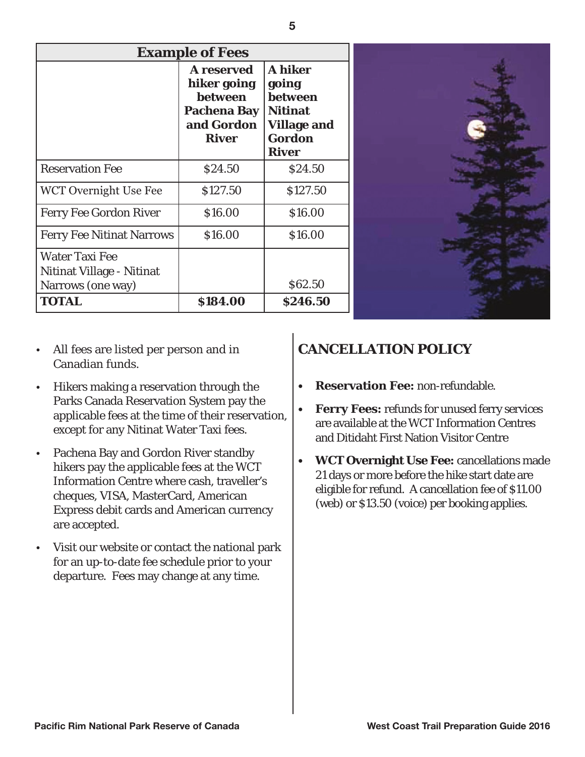| <b>Example of Fees</b>                                                  |                                                                                                 |                                                                                                             |  |
|-------------------------------------------------------------------------|-------------------------------------------------------------------------------------------------|-------------------------------------------------------------------------------------------------------------|--|
|                                                                         | A reserved<br>hiker going<br><b>between</b><br><b>Pachena Bay</b><br>and Gordon<br><b>River</b> | <b>A</b> hiker<br>going<br>between<br><b>Nitinat</b><br><b>Village and</b><br><b>Gordon</b><br><b>River</b> |  |
| <b>Reservation Fee</b>                                                  | \$24.50                                                                                         | \$24.50                                                                                                     |  |
| WCT Overnight Use Fee                                                   | \$127.50                                                                                        | \$127.50                                                                                                    |  |
| <b>Ferry Fee Gordon River</b>                                           | \$16.00                                                                                         | \$16.00                                                                                                     |  |
| <b>Ferry Fee Nitinat Narrows</b>                                        | \$16.00                                                                                         | \$16.00                                                                                                     |  |
| <b>Water Taxi Fee</b><br>Nitinat Village - Nitinat<br>Narrows (one way) |                                                                                                 | \$62.50                                                                                                     |  |
| <b>TOTAL</b>                                                            | \$184.00                                                                                        | \$246.50                                                                                                    |  |

- All fees are listed per person and in Canadian funds.
- Hikers making a reservation through the Parks Canada Reservation System pay the applicable fees at the time of their reservation, except for any Nitinat Water Taxi fees.
- Pachena Bay and Gordon River standby hikers pay the applicable fees at the WCT Information Centre where cash, traveller's cheques, VISA, MasterCard, American Express debit cards and American currency are accepted.
- Visit our website or contact the national park for an up-to-date fee schedule prior to your departure. Fees may change at any time.

# **CANCELLATION POLICY**

- **• Reservation Fee:** non-refundable.
- **• Ferry Fees:** refunds for unused ferry services are available at the WCT Information Centres and Ditidaht First Nation Visitor Centre

**REA** ENGL

**• WCT Overnight Use Fee:** cancellations made 21 days or more before the hike start date are eligible for refund. A cancellation fee of \$11.00 (web) or \$13.50 (voice) per booking applies.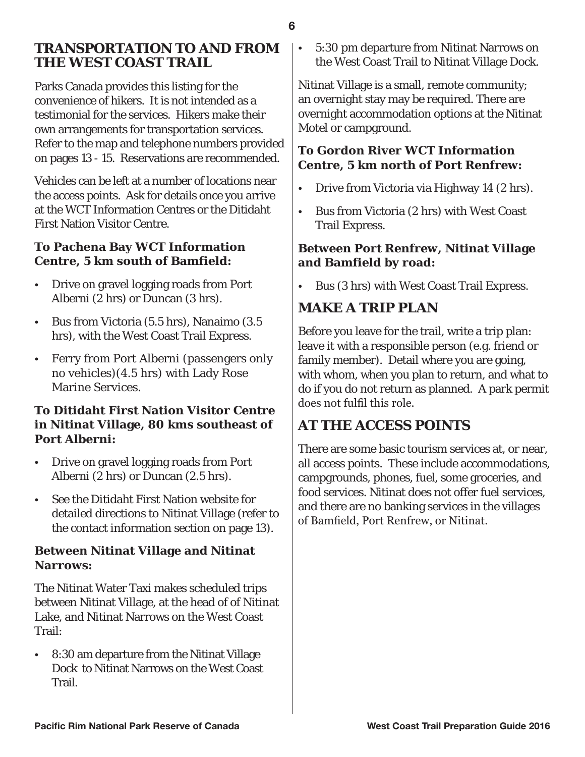# **TRANSPORTATION TO AND FROM THE WEST COAST TRAIL**

Parks Canada provides this listing for the convenience of hikers. It is not intended as a testimonial for the services. Hikers make their own arrangements for transportation services. Refer to the map and telephone numbers provided on pages 13 - 15. Reservations are recommended.

Vehicles can be left at a number of locations near the access points. Ask for details once you arrive at the WCT Information Centres or the Ditidaht First Nation Visitor Centre.

#### **To Pachena Bay WCT Information Centre, 5 km south of Bamfield:**

- Drive on gravel logging roads from Port Alberni (2 hrs) or Duncan (3 hrs).
- Bus from Victoria (5.5 hrs), Nanaimo (3.5 hrs), with the West Coast Trail Express.
- Ferry from Port Alberni (passengers only no vehicles)(4.5 hrs) with Lady Rose Marine Services.

## **To Ditidaht First Nation Visitor Centre in Nitinat Village, 80 kms southeast of Port Alberni:**

- Drive on gravel logging roads from Port Alberni (2 hrs) or Duncan (2.5 hrs).
- See the Ditidaht First Nation website for detailed directions to Nitinat Village (refer to the contact information section on page 13).

# **Between Nitinat Village and Nitinat Narrows:**

The Nitinat Water Taxi makes scheduled trips between Nitinat Village, at the head of of Nitinat Lake, and Nitinat Narrows on the West Coast Trail:

• 8:30 am departure from the Nitinat Village Dock to Nitinat Narrows on the West Coast Trail.

• 5:30 pm departure from Nitinat Narrows on the West Coast Trail to Nitinat Village Dock.

Nitinat Village is a small, remote community; an overnight stay may be required. There are overnight accommodation options at the Nitinat Motel or campground.

## **To Gordon River WCT Information Centre, 5 km north of Port Renfrew:**

- Drive from Victoria via Highway 14 (2 hrs).
- Bus from Victoria (2 hrs) with West Coast Trail Express.

# **Between Port Renfrew, Nitinat Village and Bamfield by road:**

• Bus (3 hrs) with West Coast Trail Express.

# **MAKE A TRIP PLAN**

Before you leave for the trail, write a trip plan: leave it with a responsible person (e.g. friend or family member). Detail where you are going, with whom, when you plan to return, and what to do if you do not return as planned. A park permit does not fulfil this role.

# **AT THE ACCESS POINTS**

There are some basic tourism services at, or near, all access points. These include accommodations, campgrounds, phones, fuel, some groceries, and food services. Nitinat does not offer fuel services, and there are no banking services in the villages of Bamfield, Port Renfrew, or Nitinat.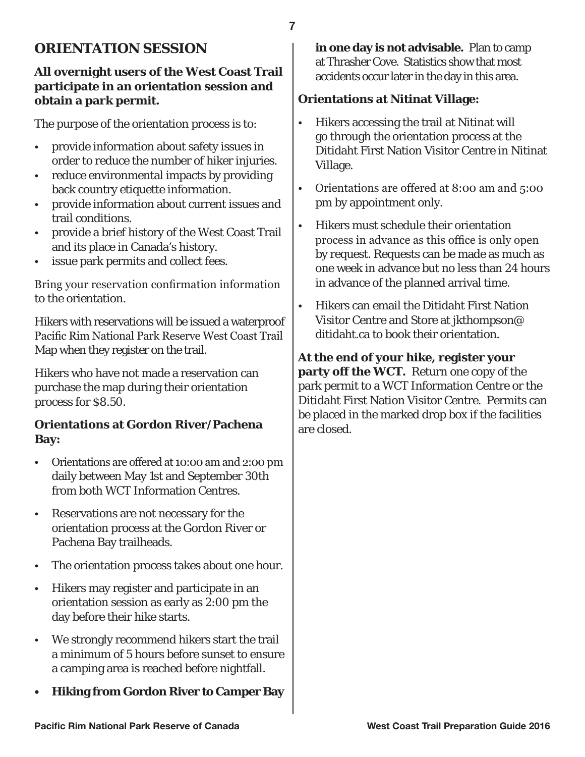# **ORIENTATION SESSION**

#### **All overnight users of the West Coast Trail participate in an orientation session and obtain a park permit.**

The purpose of the orientation process is to:

- provide information about safety issues in order to reduce the number of hiker injuries.
- reduce environmental impacts by providing back country etiquette information.
- provide information about current issues and trail conditions.
- provide a brief history of the West Coast Trail and its place in Canada's history.
- issue park permits and collect fees.

Bring your reservation confirmation information to the orientation.

Hikers with reservations will be issued a waterproof Pacific Rim National Park Reserve West Coast Trail Map when they register on the trail.

Hikers who have not made a reservation can purchase the map during their orientation process for \$8.50.

#### **Orientations at Gordon River/Pachena Bay:**

- Orientations are offered at 10:00 am and 2:00 pm daily between May 1st and September 30th from both WCT Information Centres.
- Reservations are not necessary for the orientation process at the Gordon River or Pachena Bay trailheads.
- The orientation process takes about one hour.
- Hikers may register and participate in an orientation session as early as 2:00 pm the day before their hike starts.
- We strongly recommend hikers start the trail a minimum of 5 hours before sunset to ensure a camping area is reached before nightfall.
- **• Hiking from Gordon River to Camper Bay**

**in one day is not advisable.** Plan to camp at Thrasher Cove. Statistics show that most accidents occur later in the day in this area.

#### **Orientations at Nitinat Village:**

- Hikers accessing the trail at Nitinat will go through the orientation process at the Ditidaht First Nation Visitor Centre in Nitinat Village.
- Orientations are offered at 8:00 am and 5:00 pm by appointment only.
- Hikers must schedule their orientation process in advance as this office is only open by request. Requests can be made as much as one week in advance but no less than 24 hours in advance of the planned arrival time.
- Hikers can email the Ditidaht First Nation Visitor Centre and Store at jkthompson@ ditidaht.ca to book their orientation.

**At the end of your hike, register your party off the WCT.** Return one copy of the park permit to a WCT Information Centre or the Ditidaht First Nation Visitor Centre. Permits can be placed in the marked drop box if the facilities are closed.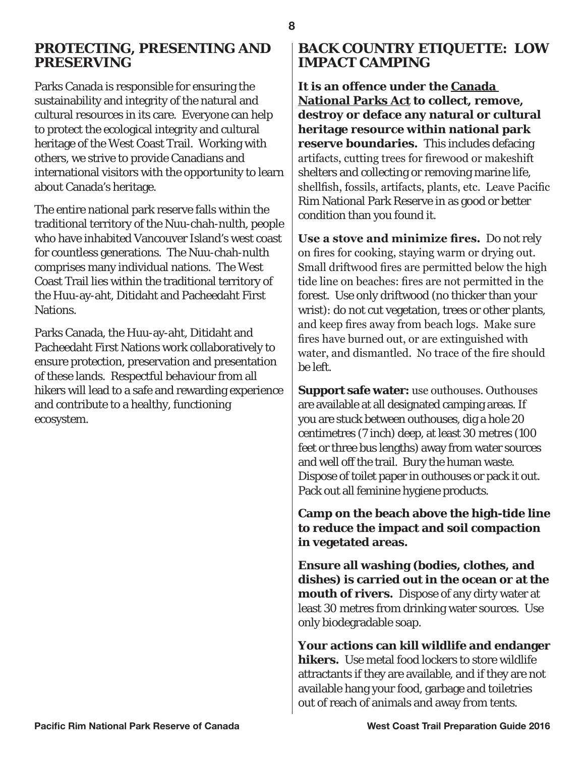**PRESERVING** Parks Canada is responsible for ensuring the sustainability and integrity of the natural and cultural resources in its care. Everyone can help to protect the ecological integrity and cultural

**PROTECTING, PRESENTING AND** 

heritage of the West Coast Trail. Working with others, we strive to provide Canadians and international visitors with the opportunity to learn about Canada's heritage.

The entire national park reserve falls within the traditional territory of the Nuu-chah-nulth, people who have inhabited Vancouver Island's west coast for countless generations. The Nuu-chah-nulth comprises many individual nations. The West Coast Trail lies within the traditional territory of the Huu-ay-aht, Ditidaht and Pacheedaht First Nations.

Parks Canada, the Huu-ay-aht, Ditidaht and Pacheedaht First Nations work collaboratively to ensure protection, preservation and presentation of these lands. Respectful behaviour from all hikers will lead to a safe and rewarding experience and contribute to a healthy, functioning ecosystem.

# **BACK COUNTRY ETIQUETTE: LOW IMPACT CAMPING**

**It is an offence under the Canada National Parks Act to collect, remove, destroy or deface any natural or cultural heritage resource within national park reserve boundaries.** This includes defacing artifacts, cutting trees for firewood or makeshift shelters and collecting or removing marine life, shellfish, fossils, artifacts, plants, etc. Leave Pacific Rim National Park Reserve in as good or better condition than you found it.

**Use a stove and minimize fires.** Do not rely on fires for cooking, staying warm or drying out. Small driftwood fires are permitted below the high tide line on beaches: fires are not permitted in the forest. Use only driftwood (no thicker than your wrist): do not cut vegetation, trees or other plants, and keep fires away from beach logs. Make sure fires have burned out, or are extinguished with water, and dismantled. No trace of the fire should be left.

**Support safe water:** use outhouses. Outhouses are available at all designated camping areas. If you are stuck between outhouses, dig a hole 20 centimetres (7 inch) deep, at least 30 metres (100 feet or three bus lengths) away from water sources and well off the trail. Bury the human waste. Dispose of toilet paper in outhouses or pack it out. Pack out all feminine hygiene products.

**Camp on the beach above the high-tide line to reduce the impact and soil compaction in vegetated areas.**

**Ensure all washing (bodies, clothes, and dishes) is carried out in the ocean or at the mouth of rivers.** Dispose of any dirty water at least 30 metres from drinking water sources. Use only biodegradable soap.

**Your actions can kill wildlife and endanger hikers.** Use metal food lockers to store wildlife attractants if they are available, and if they are not available hang your food, garbage and toiletries out of reach of animals and away from tents.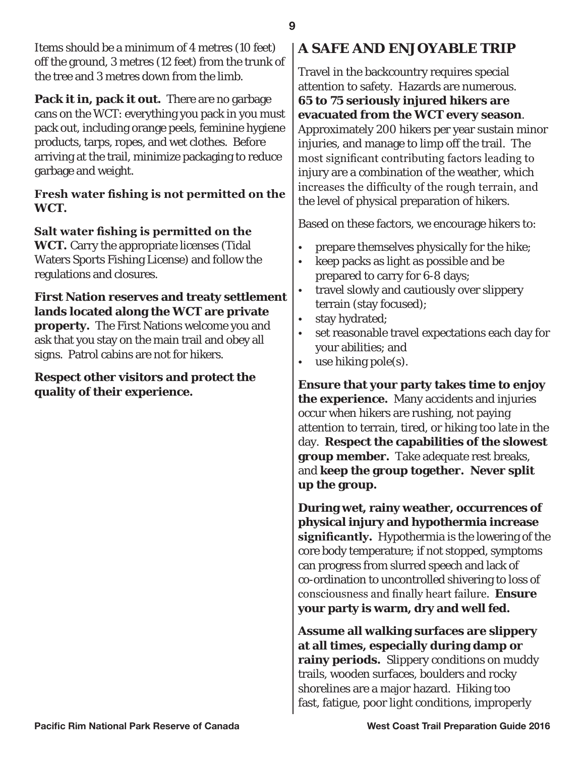Items should be a minimum of 4 metres (10 feet) off the ground, 3 metres (12 feet) from the trunk of the tree and 3 metres down from the limb.

**Pack it in, pack it out.** There are no garbage cans on the WCT: everything you pack in you must pack out, including orange peels, feminine hygiene products, tarps, ropes, and wet clothes. Before arriving at the trail, minimize packaging to reduce garbage and weight.

#### **Fresh water fishing is not permitted on the WCT.**

**Salt water fishing is permitted on the WCT.** Carry the appropriate licenses (Tidal Waters Sports Fishing License) and follow the regulations and closures.

#### **First Nation reserves and treaty settlement lands located along the WCT are private property.** The First Nations welcome you and ask that you stay on the main trail and obey all signs. Patrol cabins are not for hikers.

## **Respect other visitors and protect the quality of their experience.**

# **A SAFE AND ENJOYABLE TRIP**

Travel in the backcountry requires special attention to safety. Hazards are numerous. **65 to 75 seriously injured hikers are evacuated from the WCT every season**. Approximately 200 hikers per year sustain minor injuries, and manage to limp off the trail. The most significant contributing factors leading to injury are a combination of the weather, which increases the difficulty of the rough terrain, and the level of physical preparation of hikers.

Based on these factors, we encourage hikers to:

- prepare themselves physically for the hike;
- keep packs as light as possible and be prepared to carry for 6-8 days;
- travel slowly and cautiously over slippery terrain (stay focused);
- stay hydrated;
- set reasonable travel expectations each day for your abilities; and
- use hiking pole(s).

**Ensure that your party takes time to enjoy the experience.** Many accidents and injuries occur when hikers are rushing, not paying attention to terrain, tired, or hiking too late in the day. **Respect the capabilities of the slowest group member.** Take adequate rest breaks, and **keep the group together. Never split up the group.**

**During wet, rainy weather, occurrences of physical injury and hypothermia increase significantly.** Hypothermia is the lowering of the core body temperature; if not stopped, symptoms can progress from slurred speech and lack of co-ordination to uncontrolled shivering to loss of consciousness and finally heart failure. **Ensure your party is warm, dry and well fed.**

**Assume all walking surfaces are slippery at all times, especially during damp or rainy periods.** Slippery conditions on muddy trails, wooden surfaces, boulders and rocky shorelines are a major hazard. Hiking too fast, fatigue, poor light conditions, improperly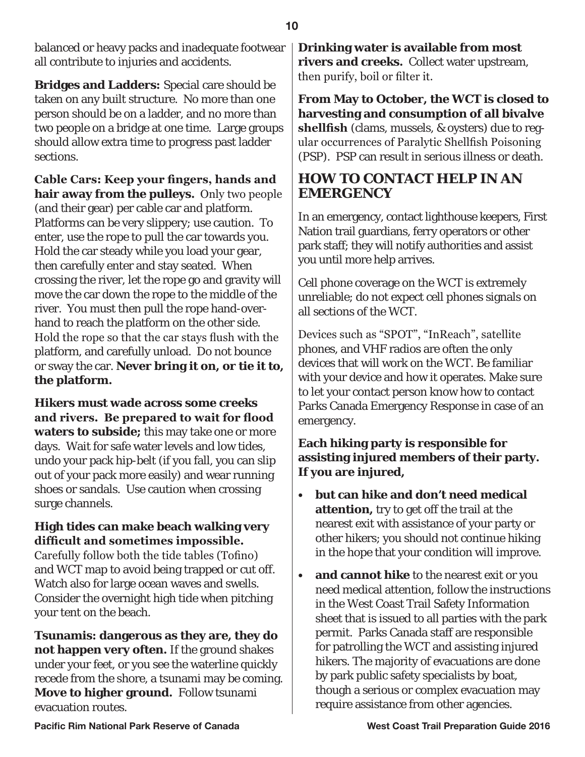balanced or heavy packs and inadequate footwear all contribute to injuries and accidents.

**Bridges and Ladders:** Special care should be taken on any built structure. No more than one person should be on a ladder, and no more than two people on a bridge at one time. Large groups should allow extra time to progress past ladder sections.

**Cable Cars: Keep your fingers, hands and hair away from the pulleys.** Only two people (and their gear) per cable car and platform. Platforms can be very slippery; use caution. To enter, use the rope to pull the car towards you. Hold the car steady while you load your gear, then carefully enter and stay seated. When crossing the river, let the rope go and gravity will move the car down the rope to the middle of the river. You must then pull the rope hand-overhand to reach the platform on the other side. Hold the rope so that the car stays flush with the platform, and carefully unload. Do not bounce or sway the car. **Never bring it on, or tie it to, the platform.**

**Hikers must wade across some creeks and rivers. Be prepared to wait for flood waters to subside;** this may take one or more days. Wait for safe water levels and low tides, undo your pack hip-belt (if you fall, you can slip out of your pack more easily) and wear running shoes or sandals. Use caution when crossing surge channels.

#### **High tides can make beach walking very difficult and sometimes impossible.**

Carefully follow both the tide tables (Tofino) and WCT map to avoid being trapped or cut off. Watch also for large ocean waves and swells. Consider the overnight high tide when pitching your tent on the beach.

**Tsunamis: dangerous as they are, they do not happen very often.** If the ground shakes under your feet, or you see the waterline quickly recede from the shore, a tsunami may be coming. **Move to higher ground.** Follow tsunami evacuation routes.

**Drinking water is available from most rivers and creeks.** Collect water upstream, then purify, boil or filter it.

**From May to October, the WCT is closed to harvesting and consumption of all bivalve shellfish** (clams, mussels, & oysters) due to regular occurrences of Paralytic Shellfish Poisoning (PSP). PSP can result in serious illness or death.

# **HOW TO CONTACT HELP IN AN EMERGENCY**

In an emergency, contact lighthouse keepers, First Nation trail guardians, ferry operators or other park staff; they will notify authorities and assist you until more help arrives.

Cell phone coverage on the WCT is extremely unreliable; do not expect cell phones signals on all sections of the WCT.

Devices such as "SPOT", "InReach", satellite phones, and VHF radios are often the only devices that will work on the WCT. Be familiar with your device and how it operates. Make sure to let your contact person know how to contact Parks Canada Emergency Response in case of an emergency.

# **Each hiking party is responsible for assisting injured members of their party. If you are injured,**

- **• but can hike and don't need medical attention,** try to get off the trail at the nearest exit with assistance of your party or other hikers; you should not continue hiking in the hope that your condition will improve.
- **and cannot hike** to the nearest exit or you need medical attention, follow the instructions in the West Coast Trail Safety Information sheet that is issued to all parties with the park permit. Parks Canada staff are responsible for patrolling the WCT and assisting injured hikers. The majority of evacuations are done by park public safety specialists by boat, though a serious or complex evacuation may require assistance from other agencies.

**10**

**Pacific Rim National Park Reserve of Canada West Coast Trail Preparation Guide 2016**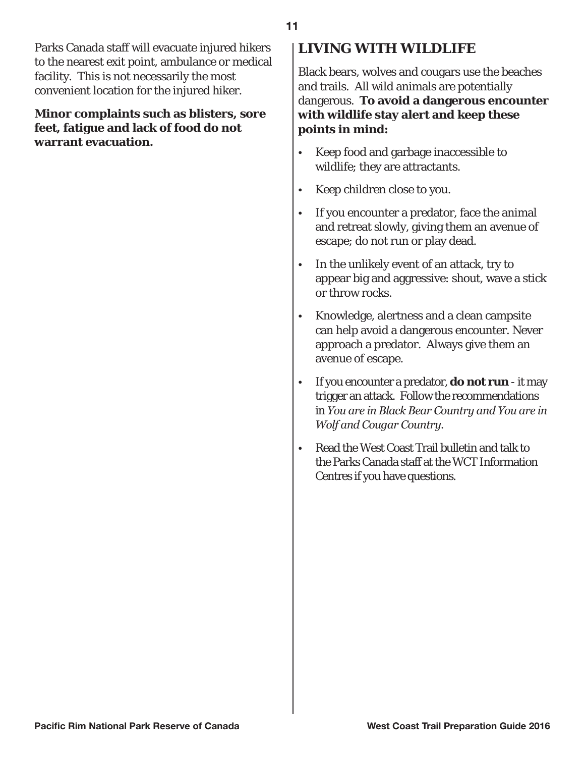Parks Canada staff will evacuate injured hikers to the nearest exit point, ambulance or medical facility. This is not necessarily the most convenient location for the injured hiker.

#### **Minor complaints such as blisters, sore feet, fatigue and lack of food do not warrant evacuation.**

# **LIVING WITH WILDLIFE**

Black bears, wolves and cougars use the beaches and trails. All wild animals are potentially dangerous. **To avoid a dangerous encounter with wildlife stay alert and keep these points in mind:**

- Keep food and garbage inaccessible to wildlife; they are attractants.
- Keep children close to you.
- If you encounter a predator, face the animal and retreat slowly, giving them an avenue of escape; do not run or play dead.
- In the unlikely event of an attack, try to appear big and aggressive: shout, wave a stick or throw rocks.
- Knowledge, alertness and a clean campsite can help avoid a dangerous encounter. Never approach a predator. Always give them an avenue of escape.
- If you encounter a predator, **do not run**  it may trigger an attack. Follow the recommendations in *You are in Black Bear Country and You are in Wolf and Cougar Country.*
- Read the West Coast Trail bulletin and talk to the Parks Canada staff at the WCT Information Centres if you have questions.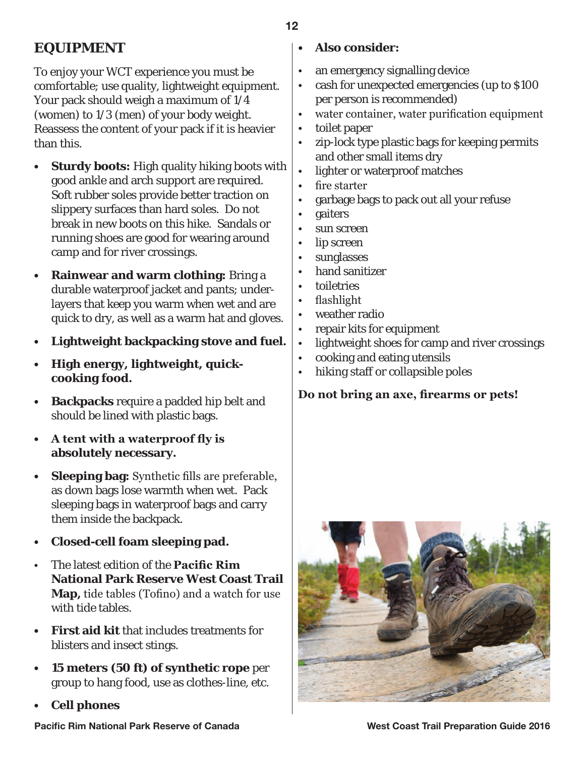# **EQUIPMENT**

To enjoy your WCT experience you must be comfortable; use quality, lightweight equipment. Your pack should weigh a maximum of 1/4 (women) to 1/3 (men) of your body weight. Reassess the content of your pack if it is heavier than this.

- **Sturdy boots:** High quality hiking boots with good ankle and arch support are required. Soft rubber soles provide better traction on slippery surfaces than hard soles. Do not break in new boots on this hike. Sandals or running shoes are good for wearing around camp and for river crossings.
- **• Rainwear and warm clothing:** Bring a durable waterproof jacket and pants; underlayers that keep you warm when wet and are quick to dry, as well as a warm hat and gloves.
- **Lightweight backpacking stove and fuel.**
- **• High energy, lightweight, quickcooking food.**
- **Backpacks** require a padded hip belt and should be lined with plastic bags.
- **• A tent with a waterproof fly is absolutely necessary.**
- **Sleeping bag:** Synthetic fills are preferable, as down bags lose warmth when wet. Pack sleeping bags in waterproof bags and carry them inside the backpack.
- **• Closed-cell foam sleeping pad.**
- The latest edition of the **Pacific Rim National Park Reserve West Coast Trail Map,** tide tables (Tofino) and a watch for use with tide tables.
- **First aid kit** that includes treatments for blisters and insect stings.
- **• 15 meters (50 ft) of synthetic rope** per group to hang food, use as clothes-line, etc.
- **• Cell phones**

# **• Also consider:**

- an emergency signalling device
- cash for unexpected emergencies (up to \$100 per person is recommended)
- water container, water purification equipment
- toilet paper
- zip-lock type plastic bags for keeping permits and other small items dry
- lighter or waterproof matches
- fire starter
- garbage bags to pack out all your refuse
- gaiters
- sun screen
- lip screen
- sunglasses
- hand sanitizer
- toiletries
- flashlight
- weather radio
- repair kits for equipment
- lightweight shoes for camp and river crossings
- cooking and eating utensils
- hiking staff or collapsible poles

**Do not bring an axe, firearms or pets!**



**12**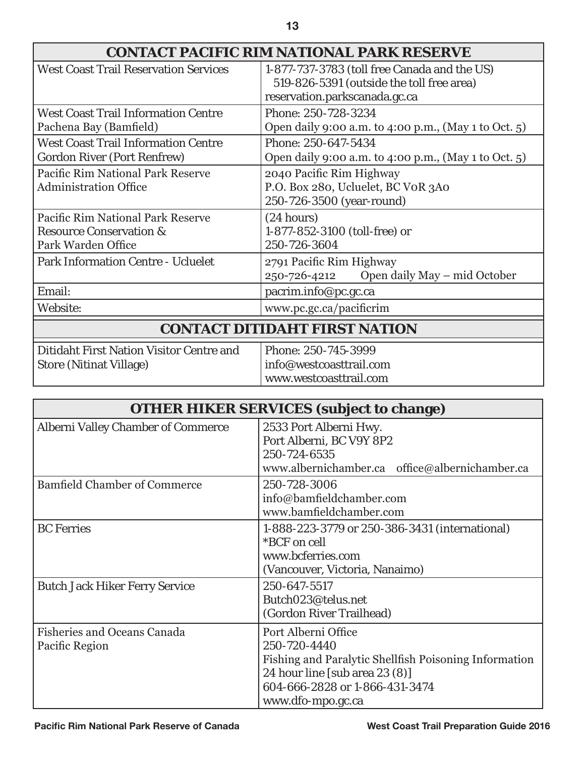| <b>CONTACT PACIFIC RIM NATIONAL PARK RESERVE</b>                                              |                                                                                                                            |  |
|-----------------------------------------------------------------------------------------------|----------------------------------------------------------------------------------------------------------------------------|--|
| <b>West Coast Trail Reservation Services</b>                                                  | 1-877-737-3783 (toll free Canada and the US)<br>519-826-5391 (outside the toll free area)<br>reservation.parkscanada.gc.ca |  |
| <b>West Coast Trail Information Centre</b><br>Pachena Bay (Bamfield)                          | Phone: 250-728-3234<br>Open daily 9:00 a.m. to 4:00 p.m., (May 1 to Oct. 5)                                                |  |
| <b>West Coast Trail Information Centre</b><br><b>Gordon River (Port Renfrew)</b>              | Phone: 250-647-5434<br>Open daily 9:00 a.m. to 4:00 p.m., (May 1 to Oct. 5)                                                |  |
| Pacific Rim National Park Reserve<br><b>Administration Office</b>                             | 2040 Pacific Rim Highway<br>P.O. Box 280, Ucluelet, BC VOR 3A0<br>250-726-3500 (year-round)                                |  |
| Pacific Rim National Park Reserve<br><b>Resource Conservation &amp;</b><br>Park Warden Office | (24 hours)<br>1-877-852-3100 (toll-free) or<br>250-726-3604                                                                |  |
| <b>Park Information Centre - Ucluelet</b>                                                     | 2791 Pacific Rim Highway<br>Open daily May – mid October<br>250-726-4212                                                   |  |
| Email:                                                                                        | pacrim.info@pc.gc.ca                                                                                                       |  |
| Website:                                                                                      | www.pc.gc.ca/pacificrim                                                                                                    |  |
| <b>CONTACT DITIDAHT FIRST NATION</b>                                                          |                                                                                                                            |  |
| <b>Ditidaht First Nation Visitor Centre and</b><br><b>Store (Nitinat Village)</b>             | Phone: 250-745-3999<br>info@westcoasttrail.com                                                                             |  |

| <b>OTHER HIKER SERVICES (subject to change)</b>      |                                                                                                                                                                                         |  |
|------------------------------------------------------|-----------------------------------------------------------------------------------------------------------------------------------------------------------------------------------------|--|
| <b>Alberni Valley Chamber of Commerce</b>            | 2533 Port Alberni Hwy.<br>Port Alberni, BC V9Y 8P2<br>250-724-6535<br>www.albernichamber.ca office@albernichamber.ca                                                                    |  |
| <b>Bamfield Chamber of Commerce</b>                  | 250-728-3006<br>info@bamfieldchamber.com<br>www.bamfieldchamber.com                                                                                                                     |  |
| <b>BC</b> Ferries                                    | 1-888-223-3779 or 250-386-3431 (international)<br>*BCF on cell<br>www.bcferries.com<br>(Vancouver, Victoria, Nanaimo)                                                                   |  |
| <b>Butch Jack Hiker Ferry Service</b>                | 250-647-5517<br>Butch023@telus.net<br>(Gordon River Trailhead)                                                                                                                          |  |
| <b>Fisheries and Oceans Canada</b><br>Pacific Region | Port Alberni Office<br>250-720-4440<br>Fishing and Paralytic Shellfish Poisoning Information<br>24 hour line [sub area $23(8)$ ]<br>604-666-2828 or 1-866-431-3474<br>www.dfo-mpo.gc.ca |  |

www.westcoasttrail.com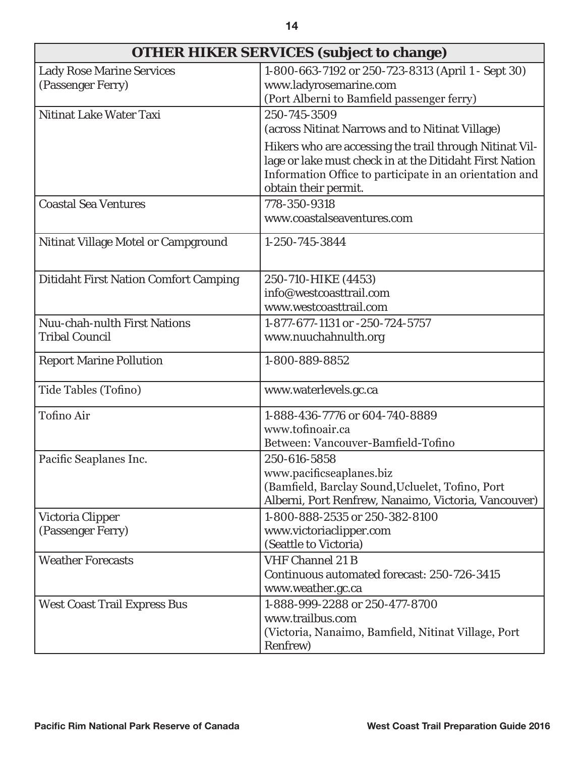| OTHER HIKER SERVICES (subject to change)                     |                                                                                                                                                                                                       |  |
|--------------------------------------------------------------|-------------------------------------------------------------------------------------------------------------------------------------------------------------------------------------------------------|--|
| <b>Lady Rose Marine Services</b><br>(Passenger Ferry)        | 1-800-663-7192 or 250-723-8313 (April 1 - Sept 30)<br>www.ladyrosemarine.com<br>(Port Alberni to Bamfield passenger ferry)                                                                            |  |
| Nitinat Lake Water Taxi                                      | 250-745-3509<br>(across Nitinat Narrows and to Nitinat Village)                                                                                                                                       |  |
|                                                              | Hikers who are accessing the trail through Nitinat Vil-<br>lage or lake must check in at the Ditidaht First Nation<br>Information Office to participate in an orientation and<br>obtain their permit. |  |
| <b>Coastal Sea Ventures</b>                                  | 778-350-9318<br>www.coastalseaventures.com                                                                                                                                                            |  |
| Nitinat Village Motel or Campground                          | 1-250-745-3844                                                                                                                                                                                        |  |
| <b>Ditidaht First Nation Comfort Camping</b>                 | 250-710-HIKE (4453)<br>info@westcoasttrail.com<br>www.westcoasttrail.com                                                                                                                              |  |
| <b>Nuu-chah-nulth First Nations</b><br><b>Tribal Council</b> | 1-877-677-1131 or -250-724-5757<br>www.nuuchahnulth.org                                                                                                                                               |  |
| <b>Report Marine Pollution</b>                               | 1-800-889-8852                                                                                                                                                                                        |  |
| Tide Tables (Tofino)                                         | www.waterlevels.gc.ca                                                                                                                                                                                 |  |
| <b>Tofino Air</b>                                            | 1-888-436-7776 or 604-740-8889<br>www.tofinoair.ca<br>Between: Vancouver-Bamfield-Tofino                                                                                                              |  |
| Pacific Seaplanes Inc.                                       | 250-616-5858<br>www.pacificseaplanes.biz<br>(Bamfield, Barclay Sound, Ucluelet, Tofino, Port<br>Alberni, Port Renfrew, Nanaimo, Victoria, Vancouver)                                                  |  |
| Victoria Clipper<br>(Passenger Ferry)                        | 1-800-888-2535 or 250-382-8100<br>www.victoriaclipper.com<br>(Seattle to Victoria)                                                                                                                    |  |
| <b>Weather Forecasts</b>                                     | <b>VHF Channel 21 B</b><br>Continuous automated forecast: 250-726-3415<br>www.weather.gc.ca                                                                                                           |  |
| <b>West Coast Trail Express Bus</b>                          | 1-888-999-2288 or 250-477-8700<br>www.trailbus.com<br>(Victoria, Nanaimo, Bamfield, Nitinat Village, Port<br>Renfrew)                                                                                 |  |

**14**

г

٦